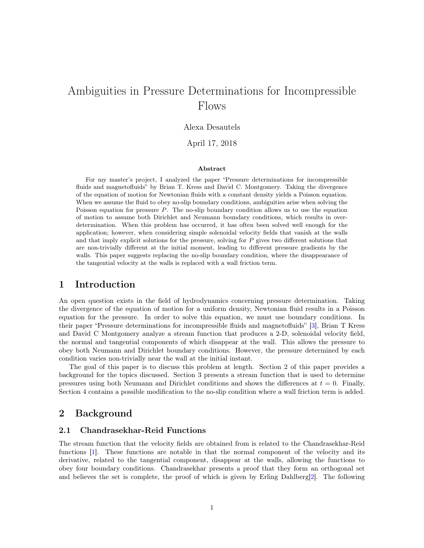# Ambiguities in Pressure Determinations for Incompressible Flows

#### Alexa Desautels

April 17, 2018

#### Abstract

For my master's project, I analyzed the paper "Pressure determinations for incompressible fluids and magnetofluids" by Brian T. Kress and David C. Montgomery. Taking the divergence of the equation of motion for Newtonian fluids with a constant density yields a Poisson equation. When we assume the fluid to obey no-slip boundary conditions, ambiguities arise when solving the Poisson equation for pressure P. The no-slip boundary condition allows us to use the equation of motion to assume both Dirichlet and Neumann boundary conditions, which results in overdetermination. When this problem has occurred, it has often been solved well enough for the application; however, when considering simple solenoidal velocity fields that vanish at the walls and that imply explicit solutions for the pressure, solving for P gives two different solutions that are non-trivially different at the initial moment, leading to different pressure gradients by the walls. This paper suggests replacing the no-slip boundary condition, where the disappearance of the tangential velocity at the walls is replaced with a wall friction term.

## 1 Introduction

An open question exists in the field of hydrodynamics concerning pressure determination. Taking the divergence of the equation of motion for a uniform density, Newtonian fluid results in a Poisson equation for the pressure. In order to solve this equation, we must use boundary conditions. In their paper "Pressure determinations for incompressible fluids and magnetofluids" [\[3\]](#page-7-0), Brian T Kress and David C Montgomery analyze a stream function that produces a 2-D, solenoidal velocity field, the normal and tangential components of which disappear at the wall. This allows the pressure to obey both Neumann and Dirichlet boundary conditions. However, the pressure determined by each condition varies non-trivially near the wall at the initial instant.

The goal of this paper is to discuss this problem at length. Section 2 of this paper provides a background for the topics discussed. Section 3 presents a stream function that is used to determine pressures using both Neumann and Dirichlet conditions and shows the differences at  $t = 0$ . Finally, Section 4 contains a possible modification to the no-slip condition where a wall friction term is added.

### 2 Background

#### 2.1 Chandrasekhar-Reid Functions

The stream function that the velocity fields are obtained from is related to the Chandrasekhar-Reid functions [\[1\]](#page-7-1). These functions are notable in that the normal component of the velocity and its derivative, related to the tangential component, disappear at the walls, allowing the functions to obey four boundary conditions. Chandrasekhar presents a proof that they form an orthogonal set and believes the set is complete, the proof of which is given by Erling Dahlberg[\[2\]](#page-7-2). The following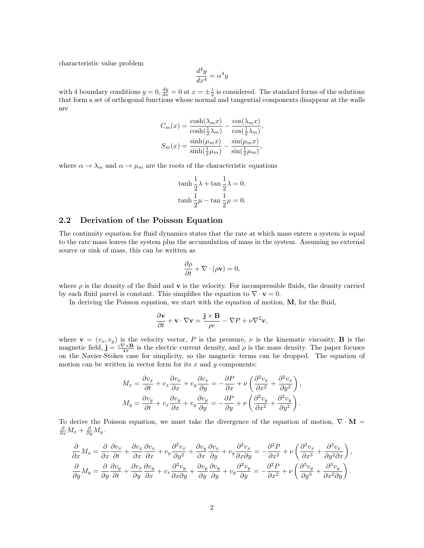characteristic value problem

$$
\frac{d^4y}{dx^4} = \alpha^4y
$$

with 4 boundary conditions  $y = 0$ ,  $\frac{dy}{dx} = 0$  at  $x = \pm \frac{1}{2}$  is considered. The standard forms of the solutions that form a set of orthogonal functions whose normal and tangential components disappear at the walls are

$$
C_m(x) = \frac{\cosh(\lambda_m x)}{\cosh(\frac{1}{2}\lambda_m)} - \frac{\cos(\lambda_m x)}{\cos(\frac{1}{2}\lambda_m)},
$$
  

$$
S_m(x) = \frac{\sinh(\mu_m x)}{\sinh(\frac{1}{2}\mu_m)} - \frac{\sin(\mu_m x)}{\sin(\frac{1}{2}\mu_m)},
$$

where  $\alpha \to \lambda_m$  and  $\alpha \to \mu_m$  are the roots of the characteristic equations

$$
\begin{aligned} \tanh \frac{1}{2}\lambda + \tan \frac{1}{2}\lambda &= 0, \\ \tanh \frac{1}{2}\mu - \tan \frac{1}{2}\mu &= 0. \end{aligned}
$$

#### 2.2 Derivation of the Poisson Equation

The continuity equation for fluid dynamics states that the rate at which mass enters a system is equal to the rate mass leaves the system plus the accumulation of mass in the system. Assuming no external source or sink of mass, this can be written as

$$
\frac{\partial \rho}{\partial t} + \nabla \cdot (\rho \mathbf{v}) = 0,
$$

where  $\rho$  is the density of the fluid and **v** is the velocity. For incompressible fluids, the density carried by each fluid parcel is constant. This simplifies the equation to  $\nabla \cdot \mathbf{v} = 0$ .

In deriving the Poisson equation, we start with the equation of motion, M, for the fluid,

$$
\frac{\partial \mathbf{v}}{\partial t} + \mathbf{v} \cdot \nabla \mathbf{v} = \frac{\mathbf{j} \times \mathbf{B}}{\rho c} - \nabla P + \nu \nabla^2 \mathbf{v},
$$

where  $\mathbf{v} = (v_x, v_y)$  is the velocity vector, P is the pressure,  $\nu$  is the kinematic viscosity, **B** is the magnetic field,  $\mathbf{j} = \frac{c\nabla \times \mathbf{B}}{4\pi}$  is the electric current density, and  $\rho$  is the mass density. The paper focuses on the Navier-Stokes case for simplicity, so the magnetic terms can be dropped. The equation of motion can be written in vector form for its  $x$  and  $y$  components:

$$
M_x = \frac{\partial v_x}{\partial t} + v_x \frac{\partial v_x}{\partial x} + v_y \frac{\partial v_x}{\partial y} = -\frac{\partial P}{\partial x} + \nu \left( \frac{\partial^2 v_x}{\partial x^2} + \frac{\partial^2 v_x}{\partial y^2} \right),
$$
  

$$
M_y = \frac{\partial v_y}{\partial t} + v_x \frac{\partial v_y}{\partial x} + v_y \frac{\partial v_y}{\partial y} = -\frac{\partial P}{\partial y} + \nu \left( \frac{\partial^2 v_y}{\partial x^2} + \frac{\partial^2 v_y}{\partial y^2} \right).
$$

To derive the Poisson equation, we must take the divergence of the equation of motion,  $\nabla \cdot \mathbf{M} =$  $\frac{\partial}{\partial x}M_x + \frac{\partial}{\partial y}M_y.$ 

$$
\frac{\partial}{\partial x}M_x = \frac{\partial}{\partial x}\frac{\partial v_x}{\partial t} + \frac{\partial v_x}{\partial x}\frac{\partial v_x}{\partial x} + v_y \frac{\partial^2 v_x}{\partial y^2} + \frac{\partial v_y}{\partial x}\frac{\partial v_x}{\partial y} + v_y \frac{\partial^2 v_x}{\partial x \partial y} = -\frac{\partial^2 P}{\partial x^2} + \nu \left(\frac{\partial^3 v_x}{\partial x^3} + \frac{\partial^3 v_x}{\partial y^2 \partial x}\right),
$$
  

$$
\frac{\partial}{\partial y}M_y = \frac{\partial}{\partial y}\frac{\partial v_y}{\partial t} + \frac{\partial v_x}{\partial y}\frac{\partial v_y}{\partial x} + v_x \frac{\partial^2 v_y}{\partial x \partial y} + \frac{\partial v_y}{\partial y}\frac{\partial v_y}{\partial y} + v_y \frac{\partial^2 v_y}{\partial y} = -\frac{\partial^2 P}{\partial x^2} + \nu \left(\frac{\partial^3 v_y}{\partial y^3} + \frac{\partial^3 v_y}{\partial x^2 \partial y}\right).
$$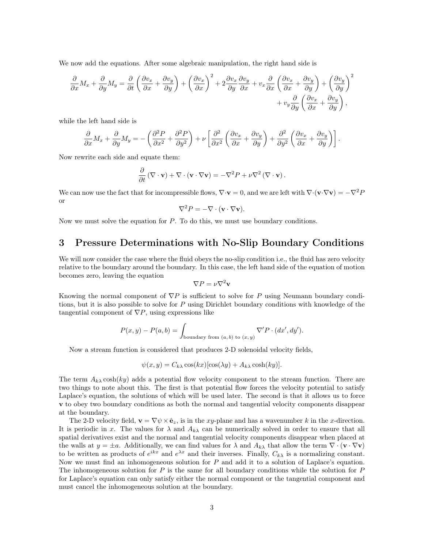We now add the equations. After some algebraic manipulation, the right hand side is

$$
\frac{\partial}{\partial x}M_x + \frac{\partial}{\partial y}M_y = \frac{\partial}{\partial t}\left(\frac{\partial v_x}{\partial x} + \frac{\partial v_y}{\partial y}\right) + \left(\frac{\partial v_x}{\partial x}\right)^2 + 2\frac{\partial v_x}{\partial y}\frac{\partial v_y}{\partial x} + v_x\frac{\partial}{\partial x}\left(\frac{\partial v_x}{\partial x} + \frac{\partial v_y}{\partial y}\right) + \left(\frac{\partial v_y}{\partial y}\right)^2 + v_y\frac{\partial}{\partial y}\left(\frac{\partial v_x}{\partial x} + \frac{\partial v_y}{\partial y}\right),
$$

while the left hand side is

$$
\frac{\partial}{\partial x}M_x + \frac{\partial}{\partial y}M_y = -\left(\frac{\partial^2 P}{\partial x^2} + \frac{\partial^2 P}{\partial y^2}\right) + \nu \left[\frac{\partial^2}{\partial x^2} \left(\frac{\partial v_x}{\partial x} + \frac{\partial v_y}{\partial y}\right) + \frac{\partial^2}{\partial y^2} \left(\frac{\partial v_x}{\partial x} + \frac{\partial v_y}{\partial y}\right)\right].
$$

Now rewrite each side and equate them:

$$
\frac{\partial}{\partial t} (\nabla \cdot \mathbf{v}) + \nabla \cdot (\mathbf{v} \cdot \nabla \mathbf{v}) = -\nabla^2 P + \nu \nabla^2 (\nabla \cdot \mathbf{v}).
$$

We can now use the fact that for incompressible flows,  $\nabla \cdot \mathbf{v} = 0$ , and we are left with  $\nabla \cdot (\mathbf{v} \cdot \nabla \mathbf{v}) = -\nabla^2 P$ or

$$
\nabla^2 P = -\nabla \cdot (\mathbf{v} \cdot \nabla \mathbf{v}).
$$

Now we must solve the equation for P. To do this, we must use boundary conditions.

## 3 Pressure Determinations with No-Slip Boundary Conditions

We will now consider the case where the fluid obeys the no-slip condition i.e., the fluid has zero velocity relative to the boundary around the boundary. In this case, the left hand side of the equation of motion becomes zero, leaving the equation

$$
\nabla P = \nu \nabla^2 \mathbf{v}
$$

Knowing the normal component of  $\nabla P$  is sufficient to solve for P using Neumann boundary conditions, but it is also possible to solve for P using Dirichlet boundary conditions with knowledge of the tangential component of  $\nabla P$ , using expressions like

$$
P(x, y) - P(a, b) = \int_{\text{boundary from } (a, b) \text{ to } (x, y)} \nabla' P \cdot (dx', dy').
$$

Now a stream function is considered that produces 2-D solenoidal velocity fields,

$$
\psi(x, y) = C_{k\lambda} \cos(kx) [\cos(\lambda y) + A_{k\lambda} \cosh(ky)].
$$

The term  $A_{k\lambda}$  cosh $(ky)$  adds a potential flow velocity component to the stream function. There are two things to note about this. The first is that potential flow forces the velocity potential to satisfy Laplace's equation, the solutions of which will be used later. The second is that it allows us to force v to obey two boundary conditions as both the normal and tangential velocity components disappear at the boundary.

The 2-D velocity field,  $\mathbf{v} = \nabla \psi \times \hat{\mathbf{e}}_z$ , is in the xy-plane and has a wavenumber k in the x-direction. It is periodic in x. The values for  $\lambda$  and  $A_{k\lambda}$  can be numerically solved in order to ensure that all spatial derivatives exist and the normal and tangential velocity components disappear when placed at the walls at  $y = \pm a$ . Additionally, we can find values for  $\lambda$  and  $A_{k\lambda}$  that allow the term  $\nabla \cdot (\mathbf{v} \cdot \nabla \mathbf{v})$ to be written as products of  $e^{ikx}$  and  $e^{\lambda x}$  and their inverses. Finally,  $C_{k\lambda}$  is a normalizing constant. Now we must find an inhomogeneous solution for  $P$  and add it to a solution of Laplace's equation. The inhomogeneous solution for P is the same for all boundary conditions while the solution for P for Laplace's equation can only satisfy either the normal component or the tangential component and must cancel the inhomogeneous solution at the boundary.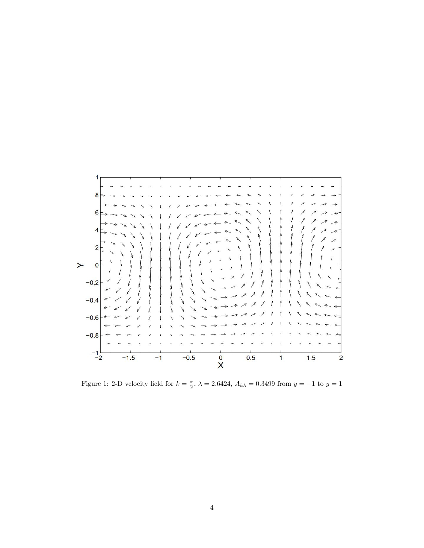

Figure 1: 2-D velocity field for  $k = \frac{\pi}{2}$ ,  $\lambda = 2.6424$ ,  $A_{k\lambda} = 0.3499$  from  $y = -1$  to  $y = 1$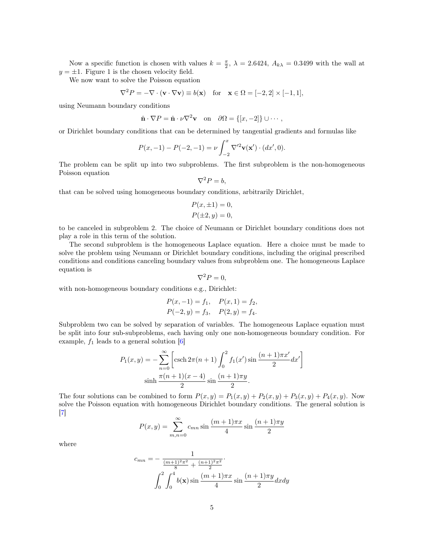Now a specific function is chosen with values  $k = \frac{\pi}{2}$ ,  $\lambda = 2.6424$ ,  $A_{k\lambda} = 0.3499$  with the wall at  $y = \pm 1$ . Figure 1 is the chosen velocity field.

We now want to solve the Poisson equation

$$
\nabla^2 P = -\nabla \cdot (\mathbf{v} \cdot \nabla \mathbf{v}) \equiv b(\mathbf{x}) \quad \text{for} \quad \mathbf{x} \in \Omega = [-2, 2] \times [-1, 1],
$$

using Neumann boundary conditions

$$
\hat{\mathbf{n}} \cdot \nabla P = \hat{\mathbf{n}} \cdot \nu \nabla^2 \mathbf{v}
$$
 on  $\partial \Omega = \{ [x, -2] \} \cup \cdots$ ,

or Dirichlet boundary conditions that can be determined by tangential gradients and formulas like

$$
P(x, -1) - P(-2, -1) = \nu \int_{-2}^{x} \nabla'^{2} \mathbf{v}(\mathbf{x}') \cdot (dx', 0).
$$

The problem can be split up into two subproblems. The first subproblem is the non-homogeneous Poisson equation

$$
\nabla^2 P = b,
$$

that can be solved using homogeneous boundary conditions, arbitrarily Dirichlet,

$$
P(x, \pm 1) = 0,
$$
  

$$
P(\pm 2, y) = 0,
$$

to be canceled in subproblem 2. The choice of Neumann or Dirichlet boundary conditions does not play a role in this term of the solution.

The second subproblem is the homogeneous Laplace equation. Here a choice must be made to solve the problem using Neumann or Dirichlet boundary conditions, including the original prescribed conditions and conditions canceling boundary values from subproblem one. The homogeneous Laplace equation is

$$
\nabla^2 P = 0,
$$

with non-homogeneous boundary conditions e.g., Dirichlet:

$$
P(x, -1) = f_1
$$
,  $P(x, 1) = f_2$ ,  
\n $P(-2, y) = f_3$ ,  $P(2, y) = f_4$ .

Subproblem two can be solved by separation of variables. The homogeneous Laplace equation must be split into four sub-subproblems, each having only one non-homogeneous boundary condition. For example,  $f_1$  leads to a general solution [\[6\]](#page-7-3)

$$
P_1(x,y) = -\sum_{n=0}^{\infty} \left[ \operatorname{csch} 2\pi (n+1) \int_0^2 f_1(x') \sin \frac{(n+1)\pi x'}{2} dx' \right]
$$

$$
\sinh \frac{\pi (n+1)(x-4)}{2} \sin \frac{(n+1)\pi y}{2}.
$$

The four solutions can be combined to form  $P(x, y) = P_1(x, y) + P_2(x, y) + P_3(x, y) + P_4(x, y)$ . Now solve the Poisson equation with homogeneous Dirichlet boundary conditions. The general solution is [\[7\]](#page-7-4)

$$
P(x, y) = \sum_{m,n=0}^{\infty} c_{mn} \sin \frac{(m+1)\pi x}{4} \sin \frac{(n+1)\pi y}{2}
$$

where

$$
c_{mn} = -\frac{1}{\frac{(m+1)^2 \pi^2}{8} + \frac{(n+1)^2 \pi^2}{2}} \cdot \int_0^2 \int_0^4 b(\mathbf{x}) \sin \frac{(m+1)\pi x}{4} \sin \frac{(n+1)\pi y}{2} dx dy
$$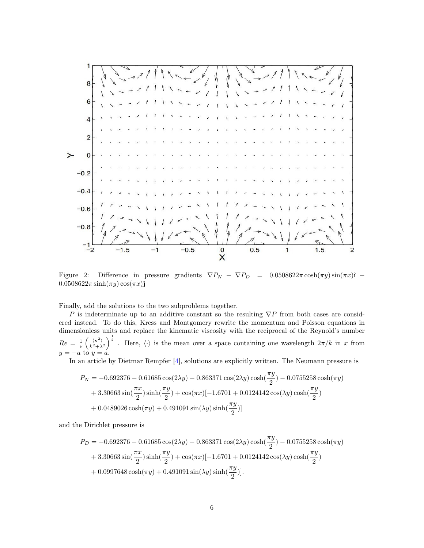

Figure 2: Difference in pressure gradients  $\nabla P_N - \nabla P_D = 0.0508622\pi \cosh(\pi y) \sin(\pi x)\hat{\mathbf{i}}$  –  $0.0508622\pi \sinh(\pi y) \cos(\pi x)$ ĵ

Finally, add the solutions to the two subproblems together.

P is indeterminate up to an additive constant so the resulting  $\nabla P$  from both cases are considered instead. To do this, Kress and Montgomery rewrite the momentum and Poisson equations in dimensionless units and replace the kinematic viscosity with the reciprocal of the Reynold's number  $Re = \frac{1}{\nu} \left( \frac{\langle \mathbf{v}^2 \rangle}{k^2 + \lambda^2} \right)^{\frac{1}{2}}$ . Here,  $\langle \cdot \rangle$  is the mean over a space containing one wavelength  $2\pi/k$  in x from  $y = -a$  to  $y = a$ .

In an article by Dietmar Rempfer [\[4\]](#page-7-5), solutions are explicitly written. The Neumann pressure is

$$
P_N = -0.692376 - 0.61685 \cos(2\lambda y) - 0.863371 \cos(2\lambda y) \cosh(\frac{\pi y}{2}) - 0.0755258 \cosh(\pi y) + 3.30663 \sin(\frac{\pi x}{2}) \sinh(\frac{\pi y}{2}) + \cos(\pi x)[-1.6701 + 0.0124142 \cos(\lambda y) \cosh(\frac{\pi y}{2}) + 0.0489026 \cosh(\pi y) + 0.491091 \sin(\lambda y) \sinh(\frac{\pi y}{2})]
$$

and the Dirichlet pressure is

$$
P_D = -0.692376 - 0.61685 \cos(2\lambda y) - 0.863371 \cos(2\lambda y) \cosh(\frac{\pi y}{2}) - 0.0755258 \cosh(\pi y) + 3.30663 \sin(\frac{\pi x}{2}) \sinh(\frac{\pi y}{2}) + \cos(\pi x)[-1.6701 + 0.0124142 \cos(\lambda y) \cosh(\frac{\pi y}{2}) + 0.0997648 \cosh(\pi y) + 0.491091 \sin(\lambda y) \sinh(\frac{\pi y}{2})].
$$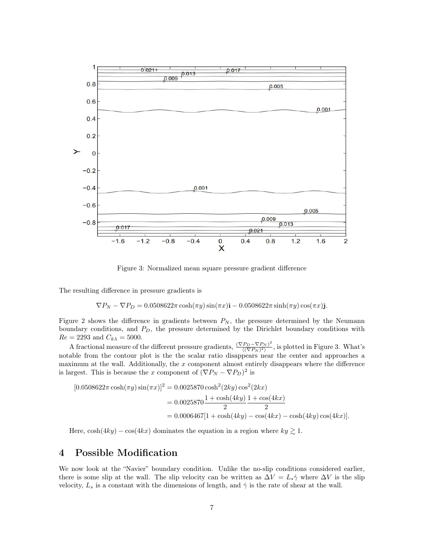

Figure 3: Normalized mean square pressure gradient difference

The resulting difference in pressure gradients is

$$
\nabla P_N - \nabla P_D = 0.0508622\pi \cosh(\pi y) \sin(\pi x)\hat{\mathbf{i}} - 0.0508622\pi \sinh(\pi y) \cos(\pi x)\hat{\mathbf{j}}.
$$

Figure 2 shows the difference in gradients between  $P_N$ , the pressure determined by the Neumann boundary conditions, and  $P_D$ , the pressure determined by the Dirichlet boundary conditions with  $Re = 2293$  and  $C_{k\lambda} = 5000$ .

A fractional measure of the different pressure gradients,  $\frac{(\nabla P_D - \nabla P_N)^2}{\sqrt{(\nabla P_N)^2}}$  $\frac{P_D - \nabla P_N}{\langle (\nabla P_N)^2 \rangle}$ , is plotted in Figure 3. What's notable from the contour plot is the the scalar ratio disappears near the center and approaches a maximum at the wall. Additionally, the  $x$  component almost entirely disappears where the difference is largest. This is because the x component of  $(\nabla P_N - \nabla P_D)^2$  is

$$
[0.0508622\pi \cosh(\pi y)\sin(\pi x)]^2 = 0.0025870 \cosh^2(2ky)\cos^2(2kx)
$$
  
= 0.0025870 $\frac{1+\cosh(4ky)}{2}$  $\frac{1+\cos(4kx)}{2}$   
= 0.0006467[1 + cosh(4ky) - cos(4kx) - cos(4ky) cos(4kx)].

Here,  $\cosh(4ky) - \cos(4kx)$  dominates the equation in a region where  $ky \gtrsim 1$ .

## 4 Possible Modification

We now look at the "Navier" boundary condition. Unlike the no-slip conditions considered earlier, there is some slip at the wall. The slip velocity can be written as  $\Delta V = L_s \dot{\gamma}$  where  $\Delta V$  is the slip velocity,  $L_s$  is a constant with the dimensions of length, and  $\dot{\gamma}$  is the rate of shear at the wall.